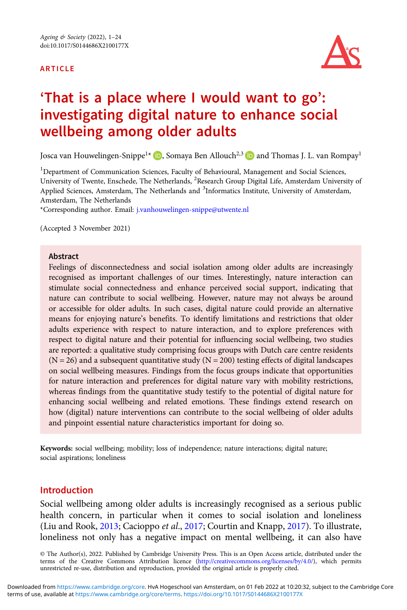#### ARTICLE



# 'That is a place where I would want to go': investigating digital nature to enhance social wellbeing among older adults

Josca van Houwelingen-Snippe<sup>1\*</sup> **D**[,](https://orcid.org/0000-0002-2404-1259) Somaya Ben Allouch<sup>2,3</sup> **D** and Thomas J. L. van Rompay<sup>1</sup>

<sup>1</sup>Department of Communication Sciences, Faculty of Behavioural, Management and Social Sciences, University of Twente, Enschede, The Netherlands, <sup>2</sup>Research Group Digital Life, Amsterdam University of Applied Sciences, Amsterdam, The Netherlands and <sup>3</sup>Informatics Institute, University of Amsterdam, Amsterdam, The Netherlands

\*Corresponding author. Email: [j.vanhouwelingen-snippe@utwente.nl](mailto:j.vanhouwelingen-snippe@utwente.nl)

(Accepted 3 November 2021)

#### **Abstract**

Feelings of disconnectedness and social isolation among older adults are increasingly recognised as important challenges of our times. Interestingly, nature interaction can stimulate social connectedness and enhance perceived social support, indicating that nature can contribute to social wellbeing. However, nature may not always be around or accessible for older adults. In such cases, digital nature could provide an alternative means for enjoying nature's benefits. To identify limitations and restrictions that older adults experience with respect to nature interaction, and to explore preferences with respect to digital nature and their potential for influencing social wellbeing, two studies are reported: a qualitative study comprising focus groups with Dutch care centre residents  $(N = 26)$  and a subsequent quantitative study  $(N = 200)$  testing effects of digital landscapes on social wellbeing measures. Findings from the focus groups indicate that opportunities for nature interaction and preferences for digital nature vary with mobility restrictions, whereas findings from the quantitative study testify to the potential of digital nature for enhancing social wellbeing and related emotions. These findings extend research on how (digital) nature interventions can contribute to the social wellbeing of older adults and pinpoint essential nature characteristics important for doing so.

Keywords: social wellbeing; mobility; loss of independence; nature interactions; digital nature; social aspirations; loneliness

#### Introduction

Social wellbeing among older adults is increasingly recognised as a serious public health concern, in particular when it comes to social isolation and loneliness (Liu and Rook, [2013](#page-20-0); Cacioppo et al., [2017;](#page-19-0) Courtin and Knapp, [2017\)](#page-19-0). To illustrate, loneliness not only has a negative impact on mental wellbeing, it can also have

© The Author(s), 2022. Published by Cambridge University Press. This is an Open Access article, distributed under the terms of the Creative Commons Attribution licence (<http://creativecommons.org/licenses/by/4.0/>), which permits unrestricted re-use, distribution and reproduction, provided the original article is properly cited.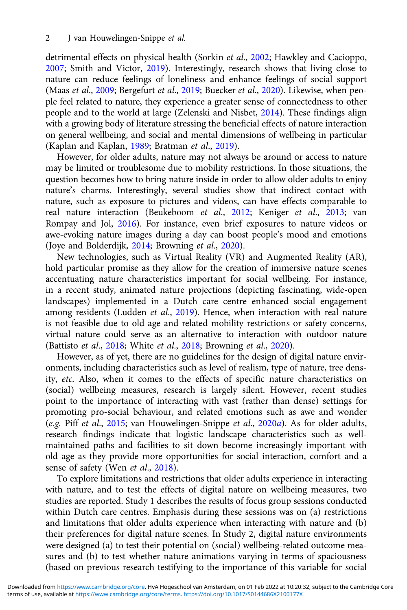detrimental effects on physical health (Sorkin et al., [2002;](#page-20-0) Hawkley and Cacioppo, [2007;](#page-20-0) Smith and Victor, [2019\)](#page-20-0). Interestingly, research shows that living close to nature can reduce feelings of loneliness and enhance feelings of social support (Maas et al., [2009;](#page-20-0) Bergefurt et al., [2019;](#page-18-0) Buecker et al., [2020\)](#page-19-0). Likewise, when people feel related to nature, they experience a greater sense of connectedness to other people and to the world at large (Zelenski and Nisbet, [2014\)](#page-21-0). These findings align with a growing body of literature stressing the beneficial effects of nature interaction on general wellbeing, and social and mental dimensions of wellbeing in particular (Kaplan and Kaplan, [1989;](#page-20-0) Bratman et al., [2019\)](#page-19-0).

However, for older adults, nature may not always be around or access to nature may be limited or troublesome due to mobility restrictions. In those situations, the question becomes how to bring nature inside in order to allow older adults to enjoy nature's charms. Interestingly, several studies show that indirect contact with nature, such as exposure to pictures and videos, can have effects comparable to real nature interaction (Beukeboom et al., [2012;](#page-18-0) Keniger et al., [2013;](#page-20-0) van Rompay and Jol, [2016](#page-21-0)). For instance, even brief exposures to nature videos or awe-evoking nature images during a day can boost people's mood and emotions (Joye and Bolderdijk, [2014](#page-20-0); Browning et al., [2020\)](#page-19-0).

New technologies, such as Virtual Reality (VR) and Augmented Reality (AR), hold particular promise as they allow for the creation of immersive nature scenes accentuating nature characteristics important for social wellbeing. For instance, in a recent study, animated nature projections (depicting fascinating, wide-open landscapes) implemented in a Dutch care centre enhanced social engagement among residents (Ludden et al., [2019\)](#page-20-0). Hence, when interaction with real nature is not feasible due to old age and related mobility restrictions or safety concerns, virtual nature could serve as an alternative to interaction with outdoor nature (Battisto et al., [2018;](#page-21-0) White et al., 2018; Browning et al., [2020](#page-19-0)).

However, as of yet, there are no guidelines for the design of digital nature environments, including characteristics such as level of realism, type of nature, tree density, etc. Also, when it comes to the effects of specific nature characteristics on (social) wellbeing measures, research is largely silent. However, recent studies point to the importance of interacting with vast (rather than dense) settings for promoting pro-social behaviour, and related emotions such as awe and wonder (e.g. Piff et al., [2015;](#page-20-0) van Houwelingen-Snippe et al., [2020](#page-21-0)a). As for older adults, research findings indicate that logistic landscape characteristics such as wellmaintained paths and facilities to sit down become increasingly important with old age as they provide more opportunities for social interaction, comfort and a sense of safety (Wen et al., [2018](#page-21-0)).

To explore limitations and restrictions that older adults experience in interacting with nature, and to test the effects of digital nature on wellbeing measures, two studies are reported. Study 1 describes the results of focus group sessions conducted within Dutch care centres. Emphasis during these sessions was on (a) restrictions and limitations that older adults experience when interacting with nature and (b) their preferences for digital nature scenes. In Study 2, digital nature environments were designed (a) to test their potential on (social) wellbeing-related outcome measures and (b) to test whether nature animations varying in terms of spaciousness (based on previous research testifying to the importance of this variable for social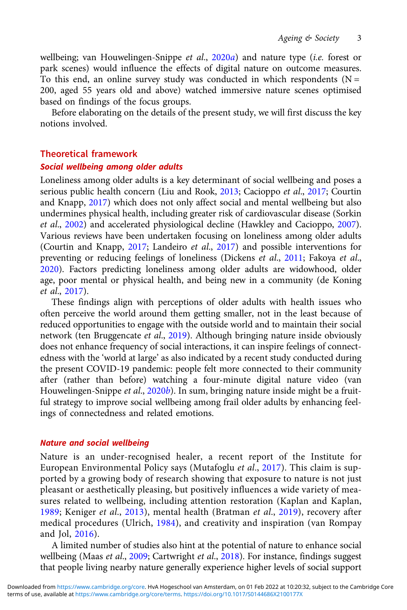wellbeing; van Houwelingen-Snippe et al., [2020](#page-21-0)a) and nature type (i.e. forest or park scenes) would influence the effects of digital nature on outcome measures. To this end, an online survey study was conducted in which respondents  $(N =$ 200, aged 55 years old and above) watched immersive nature scenes optimised based on findings of the focus groups.

Before elaborating on the details of the present study, we will first discuss the key notions involved.

#### Theoretical framework

#### Social wellbeing among older adults

Loneliness among older adults is a key determinant of social wellbeing and poses a serious public health concern (Liu and Rook, [2013;](#page-20-0) Cacioppo et al., [2017](#page-19-0); Courtin and Knapp, [2017\)](#page-19-0) which does not only affect social and mental wellbeing but also undermines physical health, including greater risk of cardiovascular disease (Sorkin et al., [2002](#page-20-0)) and accelerated physiological decline (Hawkley and Cacioppo, [2007\)](#page-20-0). Various reviews have been undertaken focusing on loneliness among older adults (Courtin and Knapp, [2017](#page-19-0); Landeiro et al., [2017](#page-20-0)) and possible interventions for preventing or reducing feelings of loneliness (Dickens et al., [2011;](#page-19-0) Fakoya et al., [2020](#page-19-0)). Factors predicting loneliness among older adults are widowhood, older age, poor mental or physical health, and being new in a community (de Koning et al., [2017](#page-19-0)).

These findings align with perceptions of older adults with health issues who often perceive the world around them getting smaller, not in the least because of reduced opportunities to engage with the outside world and to maintain their social network (ten Bruggencate et al., [2019\)](#page-21-0). Although bringing nature inside obviously does not enhance frequency of social interactions, it can inspire feelings of connectedness with the 'world at large' as also indicated by a recent study conducted during the present COVID-19 pandemic: people felt more connected to their community after (rather than before) watching a four-minute digital nature video (van Houwelingen-Snippe et al., [2020](#page-21-0)b). In sum, bringing nature inside might be a fruitful strategy to improve social wellbeing among frail older adults by enhancing feelings of connectedness and related emotions.

#### Nature and social wellbeing

Nature is an under-recognised healer, a recent report of the Institute for European Environmental Policy says (Mutafoglu et al., [2017\)](#page-20-0). This claim is supported by a growing body of research showing that exposure to nature is not just pleasant or aesthetically pleasing, but positively influences a wide variety of measures related to wellbeing, including attention restoration (Kaplan and Kaplan, [1989;](#page-20-0) Keniger et al., [2013](#page-20-0)), mental health (Bratman et al., [2019](#page-19-0)), recovery after medical procedures (Ulrich, [1984\)](#page-21-0), and creativity and inspiration (van Rompay and Jol, [2016](#page-21-0)).

A limited number of studies also hint at the potential of nature to enhance social wellbeing (Maas et al., [2009](#page-20-0); Cartwright et al., [2018](#page-19-0)). For instance, findings suggest that people living nearby nature generally experience higher levels of social support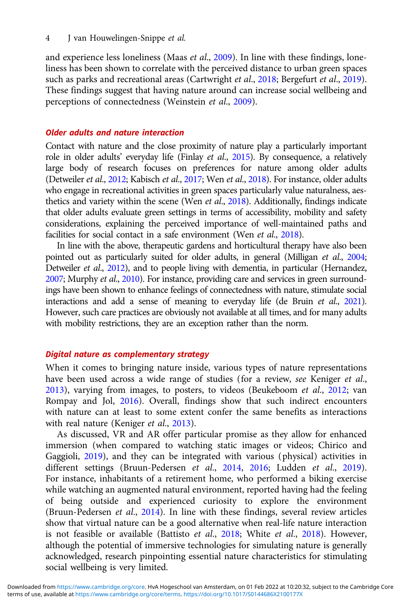and experience less loneliness (Maas et al., [2009\)](#page-20-0). In line with these findings, loneliness has been shown to correlate with the perceived distance to urban green spaces such as parks and recreational areas (Cartwright et al., [2018;](#page-19-0) Bergefurt et al., [2019\)](#page-18-0). These findings suggest that having nature around can increase social wellbeing and perceptions of connectedness (Weinstein et al., [2009\)](#page-21-0).

#### Older adults and nature interaction

Contact with nature and the close proximity of nature play a particularly important role in older adults' everyday life (Finlay et al., [2015\)](#page-19-0). By consequence, a relatively large body of research focuses on preferences for nature among older adults (Detweiler et al., [2012](#page-19-0); Kabisch et al., [2017;](#page-20-0) Wen et al., [2018\)](#page-21-0). For instance, older adults who engage in recreational activities in green spaces particularly value naturalness, aesthetics and variety within the scene (Wen et al., [2018](#page-21-0)). Additionally, findings indicate that older adults evaluate green settings in terms of accessibility, mobility and safety considerations, explaining the perceived importance of well-maintained paths and facilities for social contact in a safe environment (Wen et al., [2018](#page-21-0)).

In line with the above, therapeutic gardens and horticultural therapy have also been pointed out as particularly suited for older adults, in general (Milligan et al., [2004](#page-20-0); Detweiler et al., [2012](#page-19-0)), and to people living with dementia, in particular (Hernandez, [2007;](#page-20-0) Murphy et al., [2010\)](#page-20-0). For instance, providing care and services in green surroundings have been shown to enhance feelings of connectedness with nature, stimulate social interactions and add a sense of meaning to everyday life (de Bruin et al., [2021\)](#page-19-0). However, such care practices are obviously not available at all times, and for many adults with mobility restrictions, they are an exception rather than the norm.

## Digital nature as complementary strategy

When it comes to bringing nature inside, various types of nature representations have been used across a wide range of studies (for a review, see Keniger et al., [2013\)](#page-20-0), varying from images, to posters, to videos (Beukeboom et al., [2012;](#page-18-0) van Rompay and Jol, [2016\)](#page-21-0). Overall, findings show that such indirect encounters with nature can at least to some extent confer the same benefits as interactions with real nature (Keniger et al., [2013\)](#page-20-0).

As discussed, VR and AR offer particular promise as they allow for enhanced immersion (when compared to watching static images or videos; Chirico and Gaggioli, [2019\)](#page-19-0), and they can be integrated with various (physical) activities in different settings (Bruun-Pedersen et al., [2014](#page-19-0), [2016;](#page-19-0) Ludden et al., [2019\)](#page-20-0). For instance, inhabitants of a retirement home, who performed a biking exercise while watching an augmented natural environment, reported having had the feeling of being outside and experienced curiosity to explore the environment (Bruun-Pedersen et al., [2014](#page-19-0)). In line with these findings, several review articles show that virtual nature can be a good alternative when real-life nature interaction is not feasible or available (Battisto *et al.*,  $2018$ ; White *et al.*,  $2018$ ). However, although the potential of immersive technologies for simulating nature is generally acknowledged, research pinpointing essential nature characteristics for stimulating social wellbeing is very limited.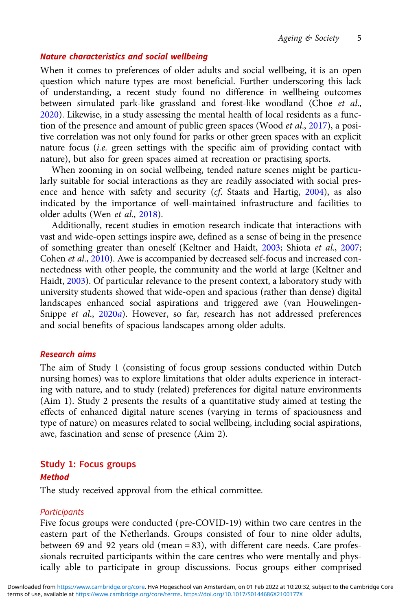#### Nature characteristics and social wellbeing

When it comes to preferences of older adults and social wellbeing, it is an open question which nature types are most beneficial. Further underscoring this lack of understanding, a recent study found no difference in wellbeing outcomes between simulated park-like grassland and forest-like woodland (Choe et al., [2020](#page-19-0)). Likewise, in a study assessing the mental health of local residents as a function of the presence and amount of public green spaces (Wood et al., [2017\)](#page-21-0), a positive correlation was not only found for parks or other green spaces with an explicit nature focus (i.e. green settings with the specific aim of providing contact with nature), but also for green spaces aimed at recreation or practising sports.

When zooming in on social wellbeing, tended nature scenes might be particularly suitable for social interactions as they are readily associated with social presence and hence with safety and security (cf. Staats and Hartig, [2004\)](#page-21-0), as also indicated by the importance of well-maintained infrastructure and facilities to older adults (Wen et al., [2018\)](#page-21-0).

Additionally, recent studies in emotion research indicate that interactions with vast and wide-open settings inspire awe, defined as a sense of being in the presence of something greater than oneself (Keltner and Haidt, [2003;](#page-20-0) Shiota et al., [2007](#page-20-0); Cohen et al., [2010\)](#page-19-0). Awe is accompanied by decreased self-focus and increased connectedness with other people, the community and the world at large (Keltner and Haidt, [2003](#page-20-0)). Of particular relevance to the present context, a laboratory study with university students showed that wide-open and spacious (rather than dense) digital landscapes enhanced social aspirations and triggered awe (van Houwelingen-Snippe et al., [2020](#page-21-0)a). However, so far, research has not addressed preferences and social benefits of spacious landscapes among older adults.

#### Research aims

The aim of Study 1 (consisting of focus group sessions conducted within Dutch nursing homes) was to explore limitations that older adults experience in interacting with nature, and to study (related) preferences for digital nature environments (Aim 1). Study 2 presents the results of a quantitative study aimed at testing the effects of enhanced digital nature scenes (varying in terms of spaciousness and type of nature) on measures related to social wellbeing, including social aspirations, awe, fascination and sense of presence (Aim 2).

#### Study 1: Focus groups

#### Method

The study received approval from the ethical committee.

#### **Participants**

Five focus groups were conducted (pre-COVID-19) within two care centres in the eastern part of the Netherlands. Groups consisted of four to nine older adults, between 69 and 92 years old (mean = 83), with different care needs. Care professionals recruited participants within the care centres who were mentally and physically able to participate in group discussions. Focus groups either comprised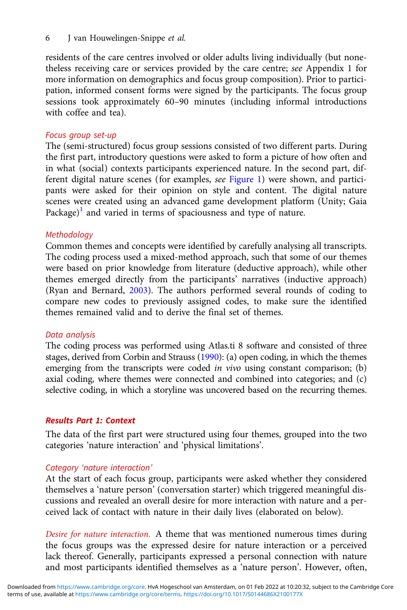6 J van Houwelingen‐Snippe et al.

residents of the care centres involved or older adults living individually (but nonetheless receiving care or services provided by the care centre; see Appendix 1 for more information on demographics and focus group composition). Prior to participation, informed consent forms were signed by the participants. The focus group sessions took approximately 60–90 minutes (including informal introductions with coffee and tea).

# Focus group set-up

The (semi-structured) focus group sessions consisted of two different parts. During the first part, introductory questions were asked to form a picture of how often and in what (social) contexts participants experienced nature. In the second part, different digital nature scenes (for examples, see [Figure 1](#page-6-0)) were shown, and participants were asked for their opinion on style and content. The digital nature scenes were created using an advanced game development platform (Unity; Gaia  $Package)$ <sup>[1](#page-18-0)</sup> and varied in terms of spaciousness and type of nature.

# Methodology

Common themes and concepts were identified by carefully analysing all transcripts. The coding process used a mixed-method approach, such that some of our themes were based on prior knowledge from literature (deductive approach), while other themes emerged directly from the participants' narratives (inductive approach) (Ryan and Bernard, [2003](#page-20-0)). The authors performed several rounds of coding to compare new codes to previously assigned codes, to make sure the identified themes remained valid and to derive the final set of themes.

# Data analysis

The coding process was performed using Atlas.ti 8 software and consisted of three stages, derived from Corbin and Strauss [\(1990](#page-19-0)): (a) open coding, in which the themes emerging from the transcripts were coded *in vivo* using constant comparison; (b) axial coding, where themes were connected and combined into categories; and (c) selective coding, in which a storyline was uncovered based on the recurring themes.

# Results Part 1: Context

The data of the first part were structured using four themes, grouped into the two categories 'nature interaction' and 'physical limitations'.

# Category 'nature interaction'

At the start of each focus group, participants were asked whether they considered themselves a 'nature person' (conversation starter) which triggered meaningful discussions and revealed an overall desire for more interaction with nature and a perceived lack of contact with nature in their daily lives (elaborated on below).

Desire for nature interaction. A theme that was mentioned numerous times during the focus groups was the expressed desire for nature interaction or a perceived lack thereof. Generally, participants expressed a personal connection with nature and most participants identified themselves as a 'nature person'. However, often,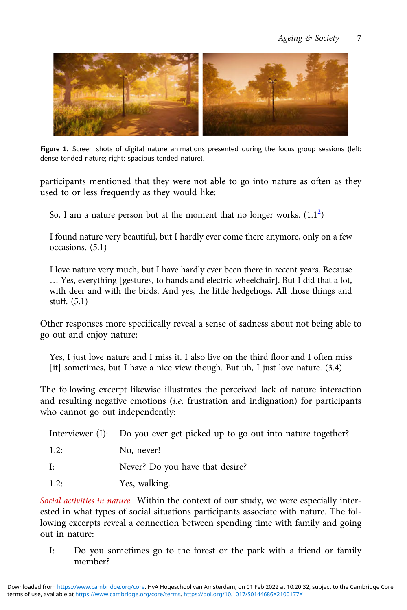<span id="page-6-0"></span>

Figure 1. Screen shots of digital nature animations presented during the focus group sessions (left: dense tended nature; right: spacious tended nature).

participants mentioned that they were not able to go into nature as often as they used to or less frequently as they would like:

So, I am a nature person but at the moment that no longer works.  $(1.1^2)$  $(1.1^2)$  $(1.1^2)$ 

I found nature very beautiful, but I hardly ever come there anymore, only on a few occasions. (5.1)

I love nature very much, but I have hardly ever been there in recent years. Because … Yes, everything [gestures, to hands and electric wheelchair]. But I did that a lot, with deer and with the birds. And yes, the little hedgehogs. All those things and stuff. (5.1)

Other responses more specifically reveal a sense of sadness about not being able to go out and enjoy nature:

Yes, I just love nature and I miss it. I also live on the third floor and I often miss [it] sometimes, but I have a nice view though. But uh, I just love nature. (3.4)

The following excerpt likewise illustrates the perceived lack of nature interaction and resulting negative emotions (i.e. frustration and indignation) for participants who cannot go out independently:

|      | Interviewer (I): Do you ever get picked up to go out into nature together? |
|------|----------------------------------------------------------------------------|
| 1.2: | No, never!                                                                 |
| I:   | Never? Do you have that desire?                                            |
| 1.2: | Yes, walking.                                                              |

Social activities in nature. Within the context of our study, we were especially interested in what types of social situations participants associate with nature. The following excerpts reveal a connection between spending time with family and going out in nature:

I: Do you sometimes go to the forest or the park with a friend or family member?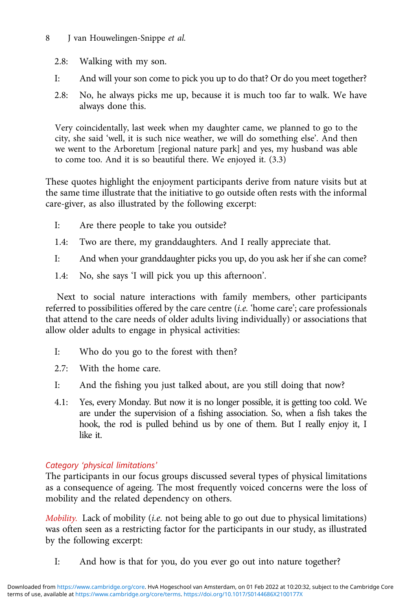# 8 J van Houwelingen-Snippe et al.

- 2.8: Walking with my son.
- I: And will your son come to pick you up to do that? Or do you meet together?
- 2.8: No, he always picks me up, because it is much too far to walk. We have always done this.

Very coincidentally, last week when my daughter came, we planned to go to the city, she said 'well, it is such nice weather, we will do something else'. And then we went to the Arboretum [regional nature park] and yes, my husband was able to come too. And it is so beautiful there. We enjoyed it. (3.3)

These quotes highlight the enjoyment participants derive from nature visits but at the same time illustrate that the initiative to go outside often rests with the informal care-giver, as also illustrated by the following excerpt:

- I: Are there people to take you outside?
- 1.4: Two are there, my granddaughters. And I really appreciate that.
- I: And when your granddaughter picks you up, do you ask her if she can come?
- 1.4: No, she says 'I will pick you up this afternoon'.

Next to social nature interactions with family members, other participants referred to possibilities offered by the care centre (i.e. 'home care'; care professionals that attend to the care needs of older adults living individually) or associations that allow older adults to engage in physical activities:

- I: Who do you go to the forest with then?
- 2.7: With the home care.
- I: And the fishing you just talked about, are you still doing that now?
- 4.1: Yes, every Monday. But now it is no longer possible, it is getting too cold. We are under the supervision of a fishing association. So, when a fish takes the hook, the rod is pulled behind us by one of them. But I really enjoy it, I like it.

# Category 'physical limitations'

The participants in our focus groups discussed several types of physical limitations as a consequence of ageing. The most frequently voiced concerns were the loss of mobility and the related dependency on others.

Mobility. Lack of mobility (i.e. not being able to go out due to physical limitations) was often seen as a restricting factor for the participants in our study, as illustrated by the following excerpt:

I: And how is that for you, do you ever go out into nature together?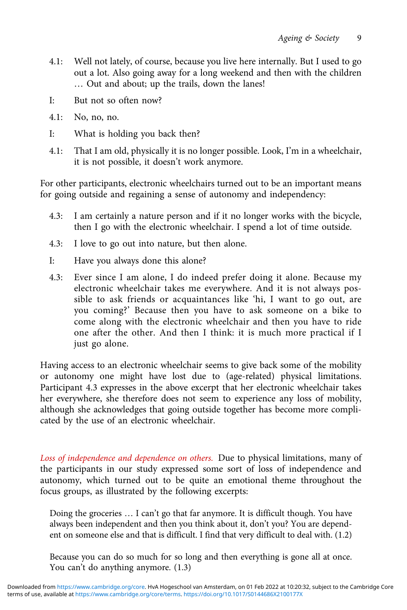- 4.1: Well not lately, of course, because you live here internally. But I used to go out a lot. Also going away for a long weekend and then with the children … Out and about; up the trails, down the lanes!
- I: But not so often now?
- 4.1: No, no, no.
- I: What is holding you back then?
- 4.1: That I am old, physically it is no longer possible. Look, I'm in a wheelchair, it is not possible, it doesn't work anymore.

For other participants, electronic wheelchairs turned out to be an important means for going outside and regaining a sense of autonomy and independency:

- 4.3: I am certainly a nature person and if it no longer works with the bicycle, then I go with the electronic wheelchair. I spend a lot of time outside.
- 4.3: I love to go out into nature, but then alone.
- I: Have you always done this alone?
- 4.3: Ever since I am alone, I do indeed prefer doing it alone. Because my electronic wheelchair takes me everywhere. And it is not always possible to ask friends or acquaintances like 'hi, I want to go out, are you coming?' Because then you have to ask someone on a bike to come along with the electronic wheelchair and then you have to ride one after the other. And then I think: it is much more practical if I just go alone.

Having access to an electronic wheelchair seems to give back some of the mobility or autonomy one might have lost due to (age-related) physical limitations. Participant 4.3 expresses in the above excerpt that her electronic wheelchair takes her everywhere, she therefore does not seem to experience any loss of mobility, although she acknowledges that going outside together has become more complicated by the use of an electronic wheelchair.

Loss of independence and dependence on others. Due to physical limitations, many of the participants in our study expressed some sort of loss of independence and autonomy, which turned out to be quite an emotional theme throughout the focus groups, as illustrated by the following excerpts:

Doing the groceries … I can't go that far anymore. It is difficult though. You have always been independent and then you think about it, don't you? You are dependent on someone else and that is difficult. I find that very difficult to deal with. (1.2)

Because you can do so much for so long and then everything is gone all at once. You can't do anything anymore. (1.3)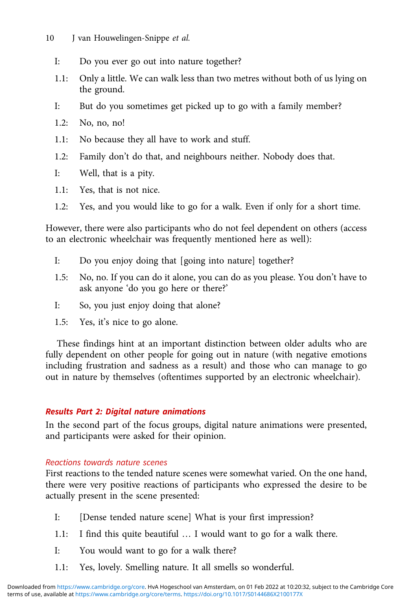- 10 J van Houwelingen-Snippe et al.
	- I: Do you ever go out into nature together?
	- 1.1: Only a little. We can walk less than two metres without both of us lying on the ground.
	- I: But do you sometimes get picked up to go with a family member?
	- 1.2: No, no, no!
	- 1.1: No because they all have to work and stuff.
	- 1.2: Family don't do that, and neighbours neither. Nobody does that.
	- I: Well, that is a pity.
	- 1.1: Yes, that is not nice.
	- 1.2: Yes, and you would like to go for a walk. Even if only for a short time.

However, there were also participants who do not feel dependent on others (access to an electronic wheelchair was frequently mentioned here as well):

- I: Do you enjoy doing that [going into nature] together?
- 1.5: No, no. If you can do it alone, you can do as you please. You don't have to ask anyone 'do you go here or there?'
- I: So, you just enjoy doing that alone?
- 1.5: Yes, it's nice to go alone.

These findings hint at an important distinction between older adults who are fully dependent on other people for going out in nature (with negative emotions including frustration and sadness as a result) and those who can manage to go out in nature by themselves (oftentimes supported by an electronic wheelchair).

# Results Part 2: Digital nature animations

In the second part of the focus groups, digital nature animations were presented, and participants were asked for their opinion.

# Reactions towards nature scenes

First reactions to the tended nature scenes were somewhat varied. On the one hand, there were very positive reactions of participants who expressed the desire to be actually present in the scene presented:

- I: [Dense tended nature scene] What is your first impression?
- 1.1: I find this quite beautiful … I would want to go for a walk there.
- I: You would want to go for a walk there?
- 1.1: Yes, lovely. Smelling nature. It all smells so wonderful.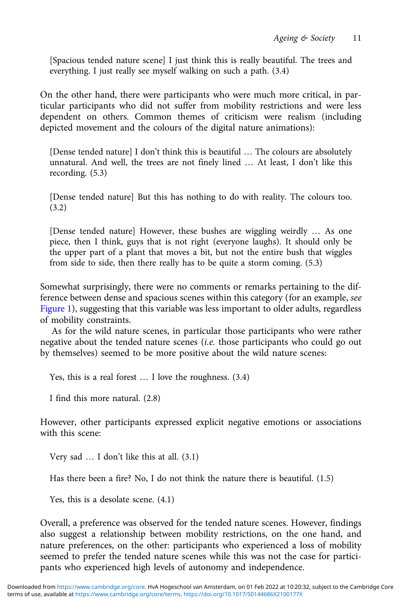[Spacious tended nature scene] I just think this is really beautiful. The trees and everything. I just really see myself walking on such a path. (3.4)

On the other hand, there were participants who were much more critical, in particular participants who did not suffer from mobility restrictions and were less dependent on others. Common themes of criticism were realism (including depicted movement and the colours of the digital nature animations):

[Dense tended nature] I don't think this is beautiful … The colours are absolutely unnatural. And well, the trees are not finely lined … At least, I don't like this recording. (5.3)

[Dense tended nature] But this has nothing to do with reality. The colours too. (3.2)

[Dense tended nature] However, these bushes are wiggling weirdly … As one piece, then I think, guys that is not right (everyone laughs). It should only be the upper part of a plant that moves a bit, but not the entire bush that wiggles from side to side, then there really has to be quite a storm coming. (5.3)

Somewhat surprisingly, there were no comments or remarks pertaining to the difference between dense and spacious scenes within this category (for an example, see [Figure 1\)](#page-6-0), suggesting that this variable was less important to older adults, regardless of mobility constraints.

As for the wild nature scenes, in particular those participants who were rather negative about the tended nature scenes (i.e. those participants who could go out by themselves) seemed to be more positive about the wild nature scenes:

Yes, this is a real forest … I love the roughness. (3.4)

I find this more natural. (2.8)

However, other participants expressed explicit negative emotions or associations with this scene:

Very sad … I don't like this at all. (3.1)

Has there been a fire? No, I do not think the nature there is beautiful. (1.5)

Yes, this is a desolate scene. (4.1)

Overall, a preference was observed for the tended nature scenes. However, findings also suggest a relationship between mobility restrictions, on the one hand, and nature preferences, on the other: participants who experienced a loss of mobility seemed to prefer the tended nature scenes while this was not the case for participants who experienced high levels of autonomy and independence.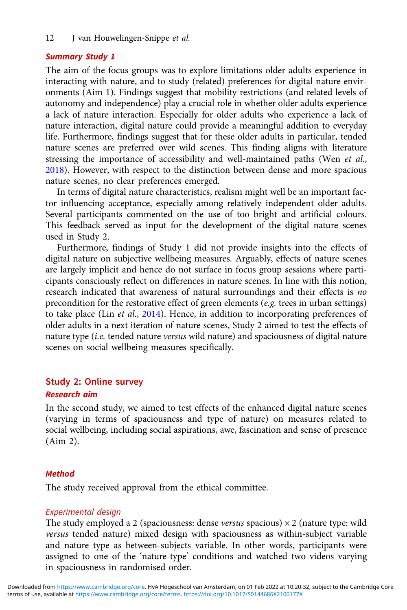12 J van Houwelingen-Snippe et al.

#### Summary Study 1

The aim of the focus groups was to explore limitations older adults experience in interacting with nature, and to study (related) preferences for digital nature environments (Aim 1). Findings suggest that mobility restrictions (and related levels of autonomy and independence) play a crucial role in whether older adults experience a lack of nature interaction. Especially for older adults who experience a lack of nature interaction, digital nature could provide a meaningful addition to everyday life. Furthermore, findings suggest that for these older adults in particular, tended nature scenes are preferred over wild scenes. This finding aligns with literature stressing the importance of accessibility and well-maintained paths (Wen et al., [2018\)](#page-21-0). However, with respect to the distinction between dense and more spacious nature scenes, no clear preferences emerged.

In terms of digital nature characteristics, realism might well be an important factor influencing acceptance, especially among relatively independent older adults. Several participants commented on the use of too bright and artificial colours. This feedback served as input for the development of the digital nature scenes used in Study 2.

Furthermore, findings of Study 1 did not provide insights into the effects of digital nature on subjective wellbeing measures. Arguably, effects of nature scenes are largely implicit and hence do not surface in focus group sessions where participants consciously reflect on differences in nature scenes. In line with this notion, research indicated that awareness of natural surroundings and their effects is no precondition for the restorative effect of green elements (e.g. trees in urban settings) to take place (Lin et al., [2014](#page-20-0)). Hence, in addition to incorporating preferences of older adults in a next iteration of nature scenes, Study 2 aimed to test the effects of nature type (i.e. tended nature versus wild nature) and spaciousness of digital nature scenes on social wellbeing measures specifically.

# Study 2: Online survey

#### Research aim

In the second study, we aimed to test effects of the enhanced digital nature scenes (varying in terms of spaciousness and type of nature) on measures related to social wellbeing, including social aspirations, awe, fascination and sense of presence (Aim 2).

#### Method

The study received approval from the ethical committee.

#### Experimental design

The study employed a 2 (spaciousness: dense versus spacious)  $\times$  2 (nature type: wild versus tended nature) mixed design with spaciousness as within-subject variable and nature type as between-subjects variable. In other words, participants were assigned to one of the 'nature-type' conditions and watched two videos varying in spaciousness in randomised order.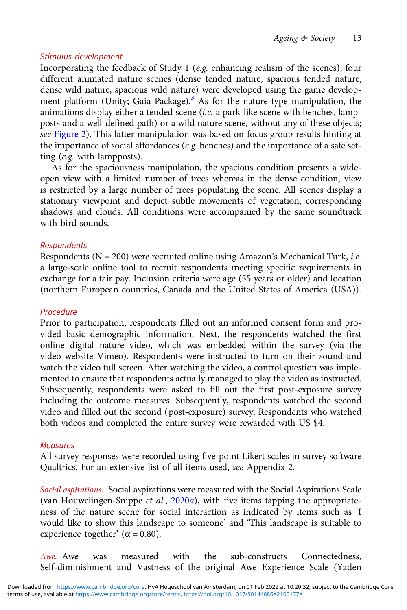## Stimulus development

Incorporating the feedback of Study 1 (e.g. enhancing realism of the scenes), four different animated nature scenes (dense tended nature, spacious tended nature, dense wild nature, spacious wild nature) were developed using the game develop-ment platform (Unity; Gaia Package).<sup>[3](#page-18-0)</sup> As for the nature-type manipulation, the animations display either a tended scene (i.e. a park-like scene with benches, lampposts and a well-defined path) or a wild nature scene, without any of these objects; see [Figure 2](#page-13-0)). This latter manipulation was based on focus group results hinting at the importance of social affordances ( $e.g.$  benches) and the importance of a safe setting (e.g. with lampposts).

As for the spaciousness manipulation, the spacious condition presents a wideopen view with a limited number of trees whereas in the dense condition, view is restricted by a large number of trees populating the scene. All scenes display a stationary viewpoint and depict subtle movements of vegetation, corresponding shadows and clouds. All conditions were accompanied by the same soundtrack with bird sounds.

# Respondents

Respondents ( $N = 200$ ) were recruited online using Amazon's Mechanical Turk, *i.e.* a large-scale online tool to recruit respondents meeting specific requirements in exchange for a fair pay. Inclusion criteria were age (55 years or older) and location (northern European countries, Canada and the United States of America (USA)).

# Procedure

Prior to participation, respondents filled out an informed consent form and provided basic demographic information. Next, the respondents watched the first online digital nature video, which was embedded within the survey (via the video website Vimeo). Respondents were instructed to turn on their sound and watch the video full screen. After watching the video, a control question was implemented to ensure that respondents actually managed to play the video as instructed. Subsequently, respondents were asked to fill out the first post-exposure survey including the outcome measures. Subsequently, respondents watched the second video and filled out the second (post-exposure) survey. Respondents who watched both videos and completed the entire survey were rewarded with US \$4.

#### **Measures**

All survey responses were recorded using five-point Likert scales in survey software Qualtrics. For an extensive list of all items used, see Appendix 2.

Social aspirations. Social aspirations were measured with the Social Aspirations Scale (van Houwelingen-Snippe et al.,  $2020a$  $2020a$ ), with five items tapping the appropriateness of the nature scene for social interaction as indicated by items such as 'I would like to show this landscape to someone' and 'This landscape is suitable to experience together' ( $\alpha$  = 0.80).

Awe. Awe was measured with the sub-constructs Connectedness, Self-diminishment and Vastness of the original Awe Experience Scale (Yaden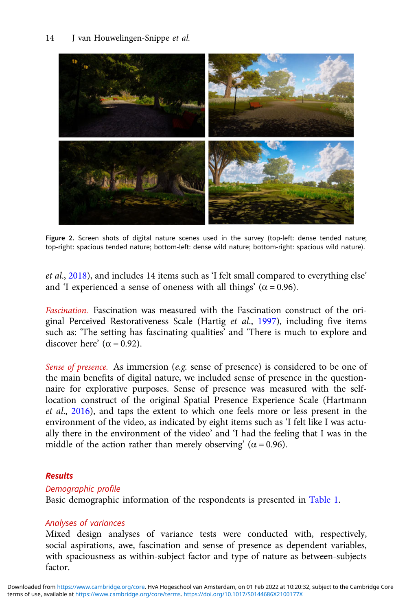<span id="page-13-0"></span>

Figure 2. Screen shots of digital nature scenes used in the survey (top-left: dense tended nature; top-right: spacious tended nature; bottom-left: dense wild nature; bottom-right: spacious wild nature).

et al., [2018](#page-21-0)), and includes 14 items such as 'I felt small compared to everything else' and 'I experienced a sense of oneness with all things' ( $\alpha$  = 0.96).

Fascination. Fascination was measured with the Fascination construct of the original Perceived Restorativeness Scale (Hartig et al., [1997](#page-19-0)), including five items such as: 'The setting has fascinating qualities' and 'There is much to explore and discover here'  $(\alpha = 0.92)$ .

Sense of presence. As immersion (e.g. sense of presence) is considered to be one of the main benefits of digital nature, we included sense of presence in the questionnaire for explorative purposes. Sense of presence was measured with the selflocation construct of the original Spatial Presence Experience Scale (Hartmann et al., [2016](#page-20-0)), and taps the extent to which one feels more or less present in the environment of the video, as indicated by eight items such as 'I felt like I was actually there in the environment of the video' and 'I had the feeling that I was in the middle of the action rather than merely observing' ( $\alpha$  = 0.96).

# Results

# Demographic profile

Basic demographic information of the respondents is presented in [Table 1](#page-14-0).

# Analyses of variances

Mixed design analyses of variance tests were conducted with, respectively, social aspirations, awe, fascination and sense of presence as dependent variables, with spaciousness as within-subject factor and type of nature as between-subjects factor.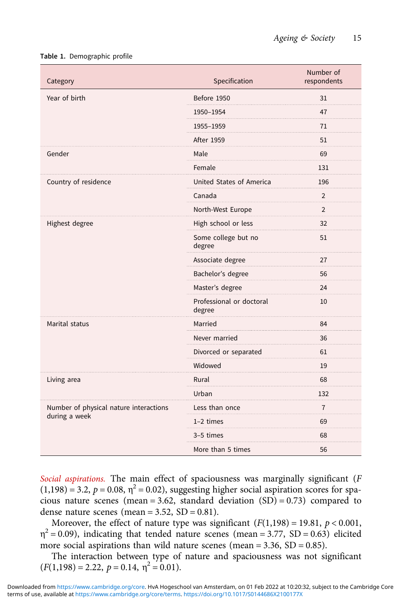#### <span id="page-14-0"></span>Table 1. Demographic profile

| Category                               | Specification                      | Number of<br>respondents |
|----------------------------------------|------------------------------------|--------------------------|
| Year of birth                          | Before 1950                        | 31                       |
|                                        | 1950-1954                          | 47                       |
|                                        | 1955-1959                          | 71                       |
|                                        | <b>After 1959</b>                  | 51                       |
| Gender                                 | Male                               | 69                       |
|                                        | Female                             | 131                      |
| Country of residence                   | United States of America           | 196                      |
|                                        | Canada                             | $\overline{2}$           |
|                                        | North-West Europe                  | $\overline{2}$           |
| Highest degree                         | High school or less                | 32                       |
|                                        | Some college but no<br>degree      | 51                       |
|                                        | Associate degree                   | 27                       |
|                                        | Bachelor's degree                  | 56                       |
|                                        | Master's degree                    | 24                       |
|                                        | Professional or doctoral<br>degree | 10                       |
| Marital status                         | Married                            | 84                       |
|                                        | Never married                      | 36                       |
|                                        | Divorced or separated              | 61                       |
|                                        | Widowed                            | 19                       |
| Living area                            | Rural                              | 68                       |
|                                        | Urban                              | 132                      |
| Number of physical nature interactions | Less than once                     | $\overline{7}$           |
| during a week                          | $1-2$ times                        | 69                       |
|                                        | 3-5 times                          | 68                       |
|                                        | More than 5 times                  | 56                       |

Social aspirations. The main effect of spaciousness was marginally significant (F  $(1,198) = 3.2$ ,  $p = 0.08$ ,  $\eta^2 = 0.02$ ), suggesting higher social aspiration scores for spacious nature scenes (mean = 3.62, standard deviation  $(SD) = 0.73$ ) compared to dense nature scenes (mean =  $3.52$ , SD =  $0.81$ ).

Moreover, the effect of nature type was significant  $(F(1,198) = 19.81, p < 0.001,$  $\eta^2$  = 0.09), indicating that tended nature scenes (mean = 3.77, SD = 0.63) elicited more social aspirations than wild nature scenes (mean =  $3.36$ , SD =  $0.85$ ).

The interaction between type of nature and spaciousness was not significant  $(F(1,198) = 2.22, p = 0.14, \eta^2 = 0.01).$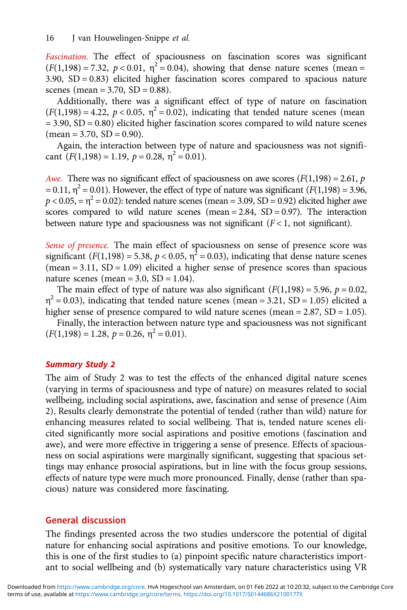Fascination. The effect of spaciousness on fascination scores was significant  $(F(1,198) = 7.32, p < 0.01, \eta^2 = 0.04)$ , showing that dense nature scenes (mean =  $3.90, SD = 0.83$ ) elicited higher fascination scores compared to spacious nature scenes (mean =  $3.70$ , SD =  $0.88$ ).

Additionally, there was a significant effect of type of nature on fascination  $(F(1,198) = 4.22, p < 0.05, \eta^2 = 0.02)$ , indicating that tended nature scenes (mean = 3.90, SD = 0.80) elicited higher fascination scores compared to wild nature scenes  $(\text{mean} = 3.70, \text{ SD} = 0.90).$ 

Again, the interaction between type of nature and spaciousness was not significant  $(F(1,198) = 1.19, p = 0.28, \eta^2 = 0.01).$ 

Awe. There was no significant effect of spaciousness on awe scores ( $F(1,198) = 2.61$ ,  $p$ = 0.11,  $\eta^2$  = 0.01). However, the effect of type of nature was significant ( $F(1,198)$ ) = 3.96,  $p < 0.05$ , =  $\eta^2$  = 0.02): tended nature scenes (mean = 3.09, SD = 0.92) elicited higher awe scores compared to wild nature scenes (mean  $= 2.84$ , SD  $= 0.97$ ). The interaction between nature type and spaciousness was not significant ( $F$  < 1, not significant).

Sense of presence. The main effect of spaciousness on sense of presence score was significant ( $F(1,198) = 5.38$ ,  $p < 0.05$ ,  $\eta^2 = 0.03$ ), indicating that dense nature scenes  $(mean = 3.11, SD = 1.09)$  elicited a higher sense of presence scores than spacious nature scenes (mean =  $3.0$ , SD =  $1.04$ ).

The main effect of type of nature was also significant  $(F(1,198) = 5.96, p = 0.02,$  $\eta^2$  = 0.03), indicating that tended nature scenes (mean = 3.21, SD = 1.05) elicited a higher sense of presence compared to wild nature scenes (mean = 2.87, SD = 1.05).

Finally, the interaction between nature type and spaciousness was not significant  $(F(1,198) = 1.28, p = 0.26, \eta^2 = 0.01).$ 

#### Summary Study 2

The aim of Study 2 was to test the effects of the enhanced digital nature scenes (varying in terms of spaciousness and type of nature) on measures related to social wellbeing, including social aspirations, awe, fascination and sense of presence (Aim 2). Results clearly demonstrate the potential of tended (rather than wild) nature for enhancing measures related to social wellbeing. That is, tended nature scenes elicited significantly more social aspirations and positive emotions (fascination and awe), and were more effective in triggering a sense of presence. Effects of spaciousness on social aspirations were marginally significant, suggesting that spacious settings may enhance prosocial aspirations, but in line with the focus group sessions, effects of nature type were much more pronounced. Finally, dense (rather than spacious) nature was considered more fascinating.

# General discussion

The findings presented across the two studies underscore the potential of digital nature for enhancing social aspirations and positive emotions. To our knowledge, this is one of the first studies to (a) pinpoint specific nature characteristics important to social wellbeing and (b) systematically vary nature characteristics using VR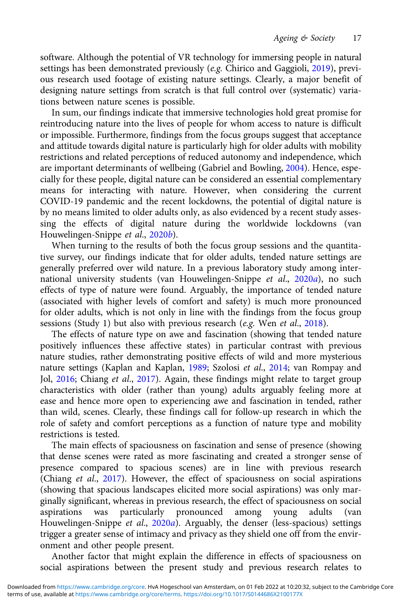software. Although the potential of VR technology for immersing people in natural settings has been demonstrated previously (e.g. Chirico and Gaggioli, [2019\)](#page-19-0), previous research used footage of existing nature settings. Clearly, a major benefit of designing nature settings from scratch is that full control over (systematic) variations between nature scenes is possible.

In sum, our findings indicate that immersive technologies hold great promise for reintroducing nature into the lives of people for whom access to nature is difficult or impossible. Furthermore, findings from the focus groups suggest that acceptance and attitude towards digital nature is particularly high for older adults with mobility restrictions and related perceptions of reduced autonomy and independence, which are important determinants of wellbeing (Gabriel and Bowling, [2004](#page-19-0)). Hence, especially for these people, digital nature can be considered an essential complementary means for interacting with nature. However, when considering the current COVID-19 pandemic and the recent lockdowns, the potential of digital nature is by no means limited to older adults only, as also evidenced by a recent study assessing the effects of digital nature during the worldwide lockdowns (van Houwelingen-Snippe et al., [2020](#page-21-0)b).

When turning to the results of both the focus group sessions and the quantitative survey, our findings indicate that for older adults, tended nature settings are generally preferred over wild nature. In a previous laboratory study among inter-national university students (van Houwelingen-Snippe et al., [2020](#page-21-0)a), no such effects of type of nature were found. Arguably, the importance of tended nature (associated with higher levels of comfort and safety) is much more pronounced for older adults, which is not only in line with the findings from the focus group sessions (Study 1) but also with previous research (e.g. Wen et al., [2018\)](#page-21-0).

The effects of nature type on awe and fascination (showing that tended nature positively influences these affective states) in particular contrast with previous nature studies, rather demonstrating positive effects of wild and more mysterious nature settings (Kaplan and Kaplan, [1989](#page-20-0); Szolosi et al., [2014](#page-21-0); van Rompay and Jol, [2016](#page-21-0); Chiang et al., [2017\)](#page-19-0). Again, these findings might relate to target group characteristics with older (rather than young) adults arguably feeling more at ease and hence more open to experiencing awe and fascination in tended, rather than wild, scenes. Clearly, these findings call for follow-up research in which the role of safety and comfort perceptions as a function of nature type and mobility restrictions is tested.

The main effects of spaciousness on fascination and sense of presence (showing that dense scenes were rated as more fascinating and created a stronger sense of presence compared to spacious scenes) are in line with previous research (Chiang et al., [2017](#page-19-0)). However, the effect of spaciousness on social aspirations (showing that spacious landscapes elicited more social aspirations) was only marginally significant, whereas in previous research, the effect of spaciousness on social aspirations was particularly pronounced among young adults (van Houwelingen-Snippe et al., [2020](#page-21-0)a). Arguably, the denser (less-spacious) settings trigger a greater sense of intimacy and privacy as they shield one off from the environment and other people present.

Another factor that might explain the difference in effects of spaciousness on social aspirations between the present study and previous research relates to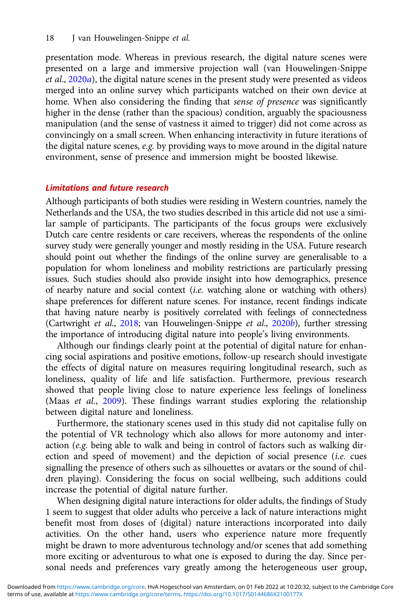presentation mode. Whereas in previous research, the digital nature scenes were presented on a large and immersive projection wall (van Houwelingen-Snippe et al., [2020](#page-21-0)a), the digital nature scenes in the present study were presented as videos merged into an online survey which participants watched on their own device at home. When also considering the finding that sense of presence was significantly higher in the dense (rather than the spacious) condition, arguably the spaciousness manipulation (and the sense of vastness it aimed to trigger) did not come across as convincingly on a small screen. When enhancing interactivity in future iterations of the digital nature scenes, e.g. by providing ways to move around in the digital nature environment, sense of presence and immersion might be boosted likewise.

## Limitations and future research

Although participants of both studies were residing in Western countries, namely the Netherlands and the USA, the two studies described in this article did not use a similar sample of participants. The participants of the focus groups were exclusively Dutch care centre residents or care receivers, whereas the respondents of the online survey study were generally younger and mostly residing in the USA. Future research should point out whether the findings of the online survey are generalisable to a population for whom loneliness and mobility restrictions are particularly pressing issues. Such studies should also provide insight into how demographics, presence of nearby nature and social context (i.e. watching alone or watching with others) shape preferences for different nature scenes. For instance, recent findings indicate that having nature nearby is positively correlated with feelings of connectedness (Cartwright et al., [2018](#page-19-0); van Houwelingen-Snippe et al., [2020](#page-21-0)b), further stressing the importance of introducing digital nature into people's living environments.

Although our findings clearly point at the potential of digital nature for enhancing social aspirations and positive emotions, follow-up research should investigate the effects of digital nature on measures requiring longitudinal research, such as loneliness, quality of life and life satisfaction. Furthermore, previous research showed that people living close to nature experience less feelings of loneliness (Maas et al., [2009](#page-20-0)). These findings warrant studies exploring the relationship between digital nature and loneliness.

Furthermore, the stationary scenes used in this study did not capitalise fully on the potential of VR technology which also allows for more autonomy and interaction (e.g. being able to walk and being in control of factors such as walking direction and speed of movement) and the depiction of social presence (i.e. cues signalling the presence of others such as silhouettes or avatars or the sound of children playing). Considering the focus on social wellbeing, such additions could increase the potential of digital nature further.

When designing digital nature interactions for older adults, the findings of Study 1 seem to suggest that older adults who perceive a lack of nature interactions might benefit most from doses of (digital) nature interactions incorporated into daily activities. On the other hand, users who experience nature more frequently might be drawn to more adventurous technology and/or scenes that add something more exciting or adventurous to what one is exposed to during the day. Since personal needs and preferences vary greatly among the heterogeneous user group,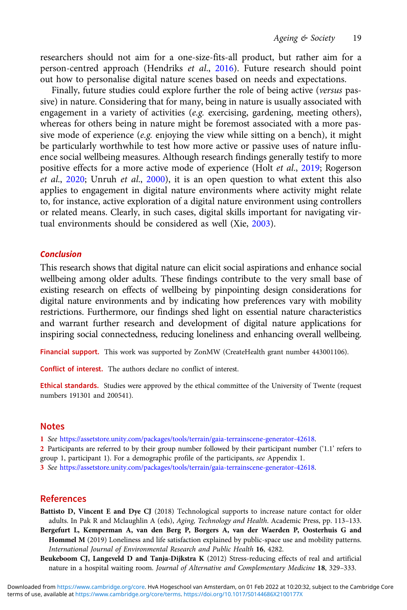<span id="page-18-0"></span>researchers should not aim for a one-size-fits-all product, but rather aim for a person-centred approach (Hendriks et al., [2016](#page-20-0)). Future research should point out how to personalise digital nature scenes based on needs and expectations.

Finally, future studies could explore further the role of being active (versus passive) in nature. Considering that for many, being in nature is usually associated with engagement in a variety of activities (e.g. exercising, gardening, meeting others), whereas for others being in nature might be foremost associated with a more passive mode of experience  $(e.g.$  enjoying the view while sitting on a bench), it might be particularly worthwhile to test how more active or passive uses of nature influence social wellbeing measures. Although research findings generally testify to more positive effects for a more active mode of experience (Holt et al., [2019](#page-20-0); Rogerson et al., [2020;](#page-20-0) Unruh et al., [2000\)](#page-21-0), it is an open question to what extent this also applies to engagement in digital nature environments where activity might relate to, for instance, active exploration of a digital nature environment using controllers or related means. Clearly, in such cases, digital skills important for navigating virtual environments should be considered as well (Xie, [2003](#page-21-0)).

#### Conclusion

This research shows that digital nature can elicit social aspirations and enhance social wellbeing among older adults. These findings contribute to the very small base of existing research on effects of wellbeing by pinpointing design considerations for digital nature environments and by indicating how preferences vary with mobility restrictions. Furthermore, our findings shed light on essential nature characteristics and warrant further research and development of digital nature applications for inspiring social connectedness, reducing loneliness and enhancing overall wellbeing.

Financial support. This work was supported by ZonMW (CreateHealth grant number 443001106).

Conflict of interest. The authors declare no conflict of interest.

Ethical standards. Studies were approved by the ethical committee of the University of Twente (request numbers 191301 and 200541).

#### **Notes**

1 See [https://assetstore.unity.com/packages/tools/terrain/gaia-terrainscene-generator-42618.](https://assetstore.unity.com/packages/tools/terrain/gaia-terrainscene-generator-42618)

2 Participants are referred to by their group number followed by their participant number ('1.1' refers to group 1, participant 1). For a demographic profile of the participants, see Appendix 1.

3 See [https://assetstore.unity.com/packages/tools/terrain/gaia-terrainscene-generator-42618.](https://assetstore.unity.com/packages/tools/terrain/gaia-terrainscene-generator-42618)

# References

- Battisto D, Vincent E and Dye CJ (2018) Technological supports to increase nature contact for older adults. In Pak R and Mclaughlin A (eds), Aging, Technology and Health. Academic Press, pp. 113–133.
- Bergefurt L, Kemperman A, van den Berg P, Borgers A, van der Waerden P, Oosterhuis G and Hommel M (2019) Loneliness and life satisfaction explained by public-space use and mobility patterns. International Journal of Environmental Research and Public Health 16, 4282.
- Beukeboom CJ, Langeveld D and Tanja-Dijkstra K (2012) Stress-reducing effects of real and artificial nature in a hospital waiting room. Journal of Alternative and Complementary Medicine 18, 329–333.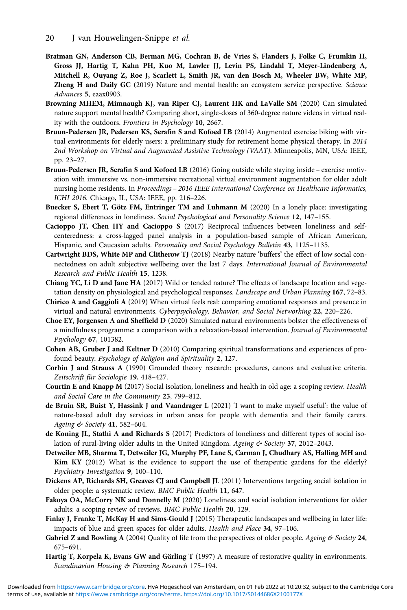- <span id="page-19-0"></span>20 J van Houwelingen-Snippe et al.
- Bratman GN, Anderson CB, Berman MG, Cochran B, de Vries S, Flanders J, Folke C, Frumkin H, Gross JJ, Hartig T, Kahn PH, Kuo M, Lawler JJ, Levin PS, Lindahl T, Meyer-Lindenberg A, Mitchell R, Ouyang Z, Roe J, Scarlett L, Smith JR, van den Bosch M, Wheeler BW, White MP, Zheng H and Daily GC (2019) Nature and mental health: an ecosystem service perspective. Science Advances 5, eaax0903.
- Browning MHEM, Mimnaugh KJ, van Riper CJ, Laurent HK and LaValle SM (2020) Can simulated nature support mental health? Comparing short, single-doses of 360-degree nature videos in virtual reality with the outdoors. Frontiers in Psychology 10, 2667.
- Bruun-Pedersen JR, Pedersen KS, Serafin S and Kofoed LB (2014) Augmented exercise biking with virtual environments for elderly users: a preliminary study for retirement home physical therapy. In 2014 2nd Workshop on Virtual and Augmented Assistive Technology (VAAT). Minneapolis, MN, USA: IEEE, pp. 23–27.
- Bruun-Pedersen JR, Serafin S and Kofoed LB (2016) Going outside while staying inside exercise motivation with immersive vs. non-immersive recreational virtual environment augmentation for older adult nursing home residents. In Proceedings – 2016 IEEE International Conference on Healthcare Informatics, ICHI 2016. Chicago, IL, USA: IEEE, pp. 216–226.
- Buecker S, Ebert T, Götz FM, Entringer TM and Luhmann M (2020) In a lonely place: investigating regional differences in loneliness. Social Psychological and Personality Science 12, 147-155.
- Cacioppo JT, Chen HY and Cacioppo S (2017) Reciprocal influences between loneliness and selfcenteredness: a cross-lagged panel analysis in a population-based sample of African American, Hispanic, and Caucasian adults. Personality and Social Psychology Bulletin 43, 1125-1135.
- Cartwright BDS, White MP and Clitherow TJ (2018) Nearby nature 'buffers' the effect of low social connectedness on adult subjective wellbeing over the last 7 days. International Journal of Environmental Research and Public Health 15, 1238.
- Chiang YC, Li D and Jane HA (2017) Wild or tended nature? The effects of landscape location and vegetation density on physiological and psychological responses. Landscape and Urban Planning 167, 72–83.
- Chirico A and Gaggioli A (2019) When virtual feels real: comparing emotional responses and presence in virtual and natural environments. Cyberpsychology, Behavior, and Social Networking 22, 220–226.
- Choe EY, Jorgensen A and Sheffield D (2020) Simulated natural environments bolster the effectiveness of a mindfulness programme: a comparison with a relaxation-based intervention. Journal of Environmental Psychology 67, 101382.
- Cohen AB, Gruber J and Keltner D (2010) Comparing spiritual transformations and experiences of profound beauty. Psychology of Religion and Spirituality 2, 127.
- Corbin J and Strauss A (1990) Grounded theory research: procedures, canons and evaluative criteria. Zeitschrift für Sociologie 19, 418–427.
- Courtin E and Knapp M (2017) Social isolation, loneliness and health in old age: a scoping review. Health and Social Care in the Community 25, 799–812.
- de Bruin SR, Buist Y, Hassink J and Vaandrager L (2021) 'I want to make myself useful': the value of nature-based adult day services in urban areas for people with dementia and their family carers. Ageing & Society 41, 582–604.
- de Koning JL, Stathi A and Richards S (2017) Predictors of loneliness and different types of social isolation of rural-living older adults in the United Kingdom. Ageing & Society 37, 2012-2043.
- Detweiler MB, Sharma T, Detweiler JG, Murphy PF, Lane S, Carman J, Chudhary AS, Halling MH and Kim KY (2012) What is the evidence to support the use of therapeutic gardens for the elderly? Psychiatry Investigation 9, 100–110.
- Dickens AP, Richards SH, Greaves CJ and Campbell JL (2011) Interventions targeting social isolation in older people: a systematic review. BMC Public Health 11, 647.
- Fakoya OA, McCorry NK and Donnelly M (2020) Loneliness and social isolation interventions for older adults: a scoping review of reviews. BMC Public Health 20, 129.
- Finlay J, Franke T, McKay H and Sims-Gould J (2015) Therapeutic landscapes and wellbeing in later life: impacts of blue and green spaces for older adults. Health and Place 34, 97–106.
- Gabriel Z and Bowling A (2004) Quality of life from the perspectives of older people. Ageing  $\&$  Society 24, 675–691.
- Hartig T, Korpela K, Evans GW and Gärling T (1997) A measure of restorative quality in environments. Scandinavian Housing & Planning Research 175–194.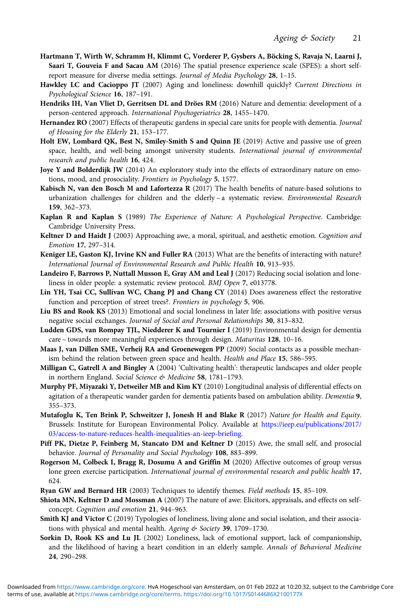- <span id="page-20-0"></span>Hartmann T, Wirth W, Schramm H, Klimmt C, Vorderer P, Gysbers A, Böcking S, Ravaja N, Laarni J, Saari T, Gouveia F and Sacau AM (2016) The spatial presence experience scale (SPES): a short selfreport measure for diverse media settings. Journal of Media Psychology 28, 1–15.
- Hawkley LC and Cacioppo JT (2007) Aging and loneliness: downhill quickly? Current Directions in Psychological Science 16, 187–191.
- Hendriks IH, Van Vliet D, Gerritsen DL and Dröes RM (2016) Nature and dementia: development of a person-centered approach. International Psychogeriatrics 28, 1455–1470.
- Hernandez RO (2007) Effects of therapeutic gardens in special care units for people with dementia. Journal of Housing for the Elderly 21, 153–177.
- Holt EW, Lombard QK, Best N, Smiley-Smith S and Quinn JE (2019) Active and passive use of green space, health, and well-being amongst university students. International journal of environmental research and public health 16, 424.
- Joye Y and Bolderdijk JW (2014) An exploratory study into the effects of extraordinary nature on emotions, mood, and prosociality. Frontiers in Psychology 5, 1577.
- Kabisch N, van den Bosch M and Lafortezza R (2017) The health benefits of nature-based solutions to urbanization challenges for children and the elderly - a systematic review. Environmental Research 159, 362–373.
- Kaplan R and Kaplan S (1989) The Experience of Nature: A Psychological Perspective. Cambridge: Cambridge University Press.
- Keltner D and Haidt J (2003) Approaching awe, a moral, spiritual, and aesthetic emotion. Cognition and Emotion 17, 297–314.
- Keniger LE, Gaston KJ, Irvine KN and Fuller RA (2013) What are the benefits of interacting with nature? International Journal of Environmental Research and Public Health 10, 913–935.
- Landeiro F, Barrows P, Nuttall Musson E, Gray AM and Leal J (2017) Reducing social isolation and loneliness in older people: a systematic review protocol. BMJ Open 7, e013778.
- Lin YH, Tsai CC, Sullivan WC, Chang PJ and Chang CY (2014) Does awareness effect the restorative function and perception of street trees?. Frontiers in psychology 5, 906.
- Liu BS and Rook KS (2013) Emotional and social loneliness in later life: associations with positive versus negative social exchanges. Journal of Social and Personal Relationships 30, 813–832.
- Ludden GDS, van Rompay TJL, Niedderer K and Tournier I (2019) Environmental design for dementia care – towards more meaningful experiences through design. Maturitas 128, 10–16.
- Maas J, van Dillen SME, Verheij RA and Groenewegen PP (2009) Social contacts as a possible mechanism behind the relation between green space and health. Health and Place 15, 586–595.
- Milligan C, Gatrell A and Bingley A (2004) 'Cultivating health': therapeutic landscapes and older people in northern England. Social Science & Medicine 58, 1781-1793.
- Murphy PF, Miyazaki Y, Detweiler MB and Kim KY (2010) Longitudinal analysis of differential effects on agitation of a therapeutic wander garden for dementia patients based on ambulation ability. Dementia 9, 355–373.
- Mutafoglu K, Ten Brink P, Schweitzer J, Jonesh H and Blake R (2017) Nature for Health and Equity. Brussels: Institute for European Environmental Policy. Available at [https://ieep.eu/publications/2017/](https://ieep.eu/publications/2017/03/access-to-nature-reduces-health-inequalities-an-ieep-briefing) [03/access-to-nature-reduces-health-inequalities-an-ieep-briefing](https://ieep.eu/publications/2017/03/access-to-nature-reduces-health-inequalities-an-ieep-briefing).
- Piff PK, Dietze P, Feinberg M, Stancato DM and Keltner D (2015) Awe, the small self, and prosocial behavior. Journal of Personality and Social Psychology 108, 883-899.
- Rogerson M, Colbeck I, Bragg R, Dosumu A and Griffin M (2020) Affective outcomes of group versus lone green exercise participation. International journal of environmental research and public health 17, 624.
- Ryan GW and Bernard HR (2003) Techniques to identify themes. Field methods 15, 85–109.
- Shiota MN, Keltner D and Mossman A (2007) The nature of awe: Elicitors, appraisals, and effects on selfconcept. Cognition and emotion 21, 944–963.
- Smith KJ and Victor C (2019) Typologies of loneliness, living alone and social isolation, and their associations with physical and mental health. Ageing & Society 39, 1709-1730.
- Sorkin D, Rook KS and Lu JL (2002) Loneliness, lack of emotional support, lack of companionship, and the likelihood of having a heart condition in an elderly sample. Annals of Behavioral Medicine 24, 290–298.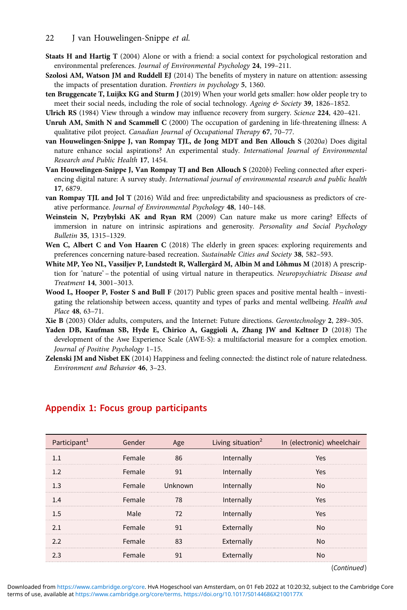- <span id="page-21-0"></span>Staats H and Hartig T (2004) Alone or with a friend: a social context for psychological restoration and environmental preferences. Journal of Environmental Psychology 24, 199–211.
- Szolosi AM, Watson JM and Ruddell EJ (2014) The benefits of mystery in nature on attention: assessing the impacts of presentation duration. Frontiers in psychology 5, 1360.
- ten Bruggencate T, Luijkx KG and Sturm J (2019) When your world gets smaller: how older people try to meet their social needs, including the role of social technology. Ageing  $&$  Society 39, 1826–1852.
- Ulrich RS (1984) View through a window may influence recovery from surgery. Science 224, 420–421.
- Unruh AM, Smith N and Scammell C (2000) The occupation of gardening in life-threatening illness: A qualitative pilot project. Canadian Journal of Occupational Therapy 67, 70–77.
- van Houwelingen-Snippe J, van Rompay TJL, de Jong MDT and Ben Allouch S (2020a) Does digital nature enhance social aspirations? An experimental study. International Journal of Environmental Research and Public Health 17, 1454.
- Van Houwelingen-Snippe J, Van Rompay TJ and Ben Allouch S (2020b) Feeling connected after experiencing digital nature: A survey study. International journal of environmental research and public health 17, 6879.
- van Rompay TJL and Jol T (2016) Wild and free: unpredictability and spaciousness as predictors of creative performance. Journal of Environmental Psychology 48, 140–148.
- Weinstein N, Przybylski AK and Ryan RM (2009) Can nature make us more caring? Effects of immersion in nature on intrinsic aspirations and generosity. Personality and Social Psychology Bulletin 35, 1315–1329.
- Wen C, Albert C and Von Haaren C (2018) The elderly in green spaces: exploring requirements and preferences concerning nature-based recreation. Sustainable Cities and Society 38, 582–593.
- White MP, Yeo NL, Vassiljev P, Lundstedt R, Wallergård M, Albin M and Lõhmus M (2018) A prescription for 'nature' - the potential of using virtual nature in therapeutics. Neuropsychiatric Disease and Treatment 14, 3001–3013.
- Wood L, Hooper P, Foster S and Bull F (2017) Public green spaces and positive mental health investigating the relationship between access, quantity and types of parks and mental wellbeing. Health and Place 48, 63–71.
- Xie B (2003) Older adults, computers, and the Internet: Future directions. Gerontechnology 2, 289–305.
- Yaden DB, Kaufman SB, Hyde E, Chirico A, Gaggioli A, Zhang JW and Keltner D (2018) The development of the Awe Experience Scale (AWE-S): a multifactorial measure for a complex emotion. Journal of Positive Psychology 1–15.
- Zelenski JM and Nisbet EK (2014) Happiness and feeling connected: the distinct role of nature relatedness. Environment and Behavior 46, 3–23.

| Participant <sup>1</sup> | Gender |         | Living situation <sup>2</sup> | In (electronic) wheelchair |
|--------------------------|--------|---------|-------------------------------|----------------------------|
|                          | Female | 86      | Internally                    | Yes                        |
|                          | Female |         | Internally                    | Yes                        |
| 1.3                      | Female | Unknown | Internally                    | No                         |
| 1.4                      | Female | 78      | Internally                    | Yes                        |
| 1.5                      | Male   | 72      | Internally                    | Yes                        |
|                          | Female |         | Externally                    |                            |
|                          | Female |         | Externally                    |                            |
|                          | Female |         | Externally                    |                            |
|                          |        |         |                               | $\sim$ $\sim$ $\sim$       |

#### Appendix 1: Focus group participants

(Continued)

terms of use, available at <https://www.cambridge.org/core/terms>.<https://doi.org/10.1017/S0144686X2100177X> Downloaded from<https://www.cambridge.org/core>. HvA Hogeschool van Amsterdam, on 01 Feb 2022 at 10:20:32, subject to the Cambridge Core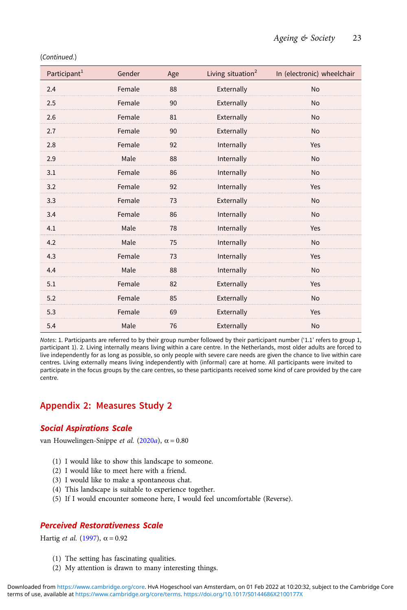| Participant <sup>1</sup> | Gender | Age | Living situation $2$ | In (electronic) wheelchair |
|--------------------------|--------|-----|----------------------|----------------------------|
| 2.4                      | Female | 88  | Externally           | <b>No</b>                  |
| 2.5                      | Female | 90  | Externally           | <b>No</b>                  |
| 2.6                      | Female | 81  | Externally           | <b>No</b>                  |
| 2.7                      | Female | 90  | Externally           | <b>No</b>                  |
| 2.8                      | Female | 92  | Internally           | Yes                        |
| 2.9                      | Male   | 88  | Internally           | <b>No</b>                  |
| 3.1                      | Female | 86  | Internally           | <b>No</b>                  |
| 3.2                      | Female | 92  | Internally           | Yes                        |
| 3.3                      | Female | 73  | Externally           | <b>No</b>                  |
| 3.4                      | Female | 86  | Internally           | <b>No</b>                  |
| 4.1                      | Male   | 78  | Internally           | Yes                        |
| 4.2                      | Male   | 75  | Internally           | <b>No</b>                  |
| 4.3                      | Female | 73  | Internally           | Yes                        |
| 4.4                      | Male   | 88  | Internally           | <b>No</b>                  |
| 5.1                      | Female | 82  | Externally           | Yes                        |
| 5.2                      | Female | 85  | Externally           | <b>No</b>                  |
| 5.3                      | Female | 69  | Externally           | Yes                        |
| 5.4                      | Male   | 76  | Externally           | <b>No</b>                  |

(Continued.)

Notes: 1. Participants are referred to by their group number followed by their participant number ('1.1' refers to group 1, participant 1). 2. Living internally means living within a care centre. In the Netherlands, most older adults are forced to live independently for as long as possible, so only people with severe care needs are given the chance to live within care centres. Living externally means living independently with (informal) care at home. All participants were invited to participate in the focus groups by the care centres, so these participants received some kind of care provided by the care centre.

# Appendix 2: Measures Study 2

# Social Aspirations Scale

van Houwelingen-Snippe et al. ([2020](#page-21-0)a), α = 0.80

- (1) I would like to show this landscape to someone.
- (2) I would like to meet here with a friend.
- (3) I would like to make a spontaneous chat.
- (4) This landscape is suitable to experience together.
- (5) If I would encounter someone here, I would feel uncomfortable (Reverse).

# Perceived Restorativeness Scale

Hartig et al. [\(1997](#page-19-0)),  $\alpha$  = 0.92

- (1) The setting has fascinating qualities.
- (2) My attention is drawn to many interesting things.